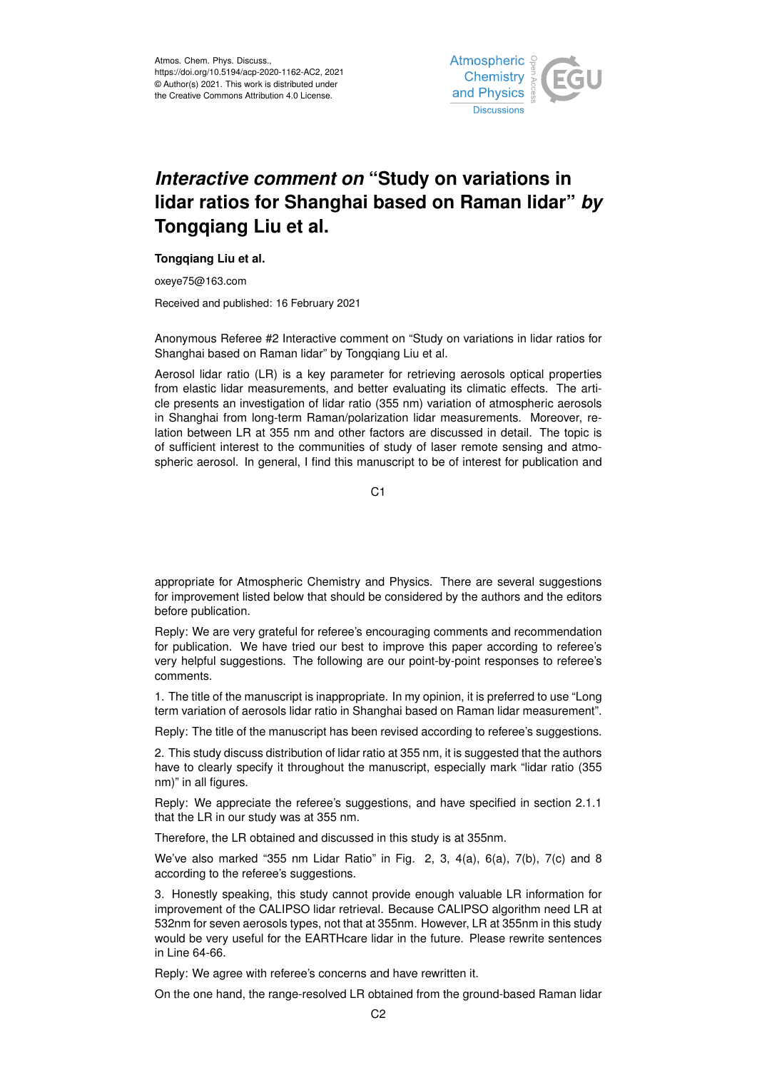

## *Interactive comment on* **"Study on variations in lidar ratios for Shanghai based on Raman lidar"** *by* **Tongqiang Liu et al.**

## **Tongqiang Liu et al.**

oxeye75@163.com

Received and published: 16 February 2021

Anonymous Referee #2 Interactive comment on "Study on variations in lidar ratios for Shanghai based on Raman lidar" by Tongqiang Liu et al.

Aerosol lidar ratio (LR) is a key parameter for retrieving aerosols optical properties from elastic lidar measurements, and better evaluating its climatic effects. The article presents an investigation of lidar ratio (355 nm) variation of atmospheric aerosols in Shanghai from long-term Raman/polarization lidar measurements. Moreover, relation between LR at 355 nm and other factors are discussed in detail. The topic is of sufficient interest to the communities of study of laser remote sensing and atmospheric aerosol. In general, I find this manuscript to be of interest for publication and

C<sub>1</sub>

appropriate for Atmospheric Chemistry and Physics. There are several suggestions for improvement listed below that should be considered by the authors and the editors before publication.

Reply: We are very grateful for referee's encouraging comments and recommendation for publication. We have tried our best to improve this paper according to referee's very helpful suggestions. The following are our point-by-point responses to referee's comments.

1. The title of the manuscript is inappropriate. In my opinion, it is preferred to use "Long term variation of aerosols lidar ratio in Shanghai based on Raman lidar measurement".

Reply: The title of the manuscript has been revised according to referee's suggestions.

2. This study discuss distribution of lidar ratio at 355 nm, it is suggested that the authors have to clearly specify it throughout the manuscript, especially mark "lidar ratio (355 nm)" in all figures.

Reply: We appreciate the referee's suggestions, and have specified in section 2.1.1 that the LR in our study was at 355 nm.

Therefore, the LR obtained and discussed in this study is at 355nm.

We've also marked "355 nm Lidar Ratio" in Fig. 2, 3, 4(a), 6(a), 7(b), 7(c) and 8 according to the referee's suggestions.

3. Honestly speaking, this study cannot provide enough valuable LR information for improvement of the CALIPSO lidar retrieval. Because CALIPSO algorithm need LR at 532nm for seven aerosols types, not that at 355nm. However, LR at 355nm in this study would be very useful for the EARTHcare lidar in the future. Please rewrite sentences in Line 64-66.

Reply: We agree with referee's concerns and have rewritten it.

On the one hand, the range-resolved LR obtained from the ground-based Raman lidar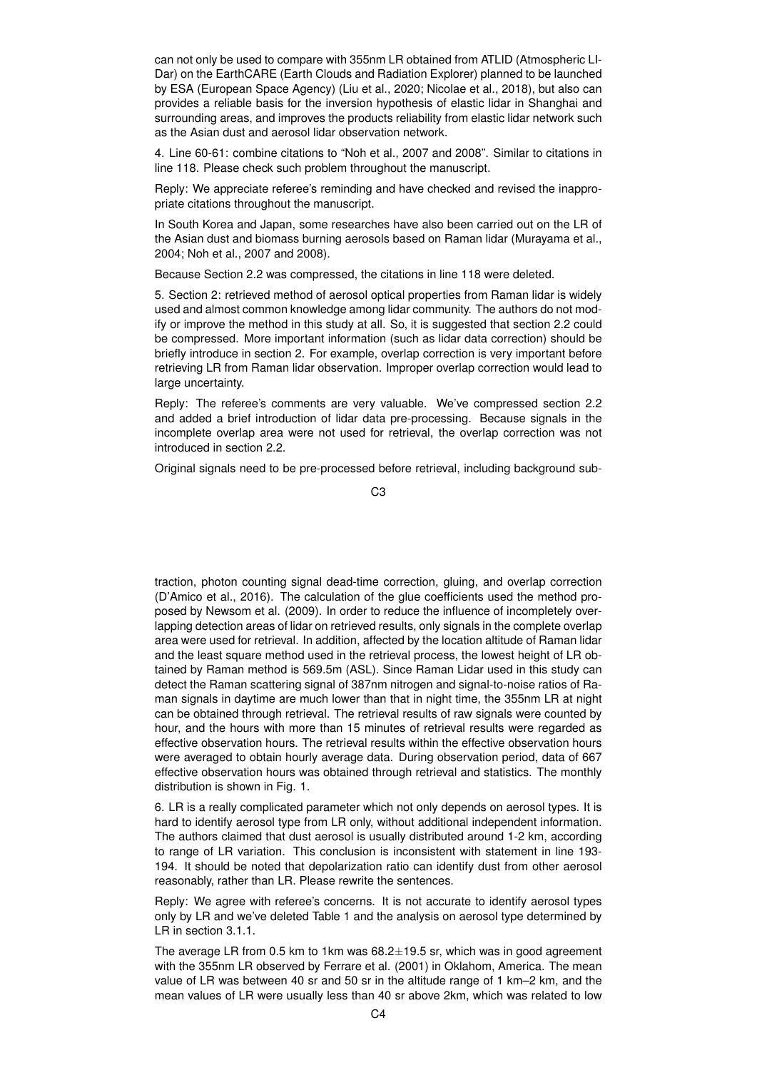can not only be used to compare with 355nm LR obtained from ATLID (Atmospheric LI-Dar) on the EarthCARE (Earth Clouds and Radiation Explorer) planned to be launched by ESA (European Space Agency) (Liu et al., 2020; Nicolae et al., 2018), but also can provides a reliable basis for the inversion hypothesis of elastic lidar in Shanghai and surrounding areas, and improves the products reliability from elastic lidar network such as the Asian dust and aerosol lidar observation network.

4. Line 60-61: combine citations to "Noh et al., 2007 and 2008". Similar to citations in line 118. Please check such problem throughout the manuscript.

Reply: We appreciate referee's reminding and have checked and revised the inappropriate citations throughout the manuscript.

In South Korea and Japan, some researches have also been carried out on the LR of the Asian dust and biomass burning aerosols based on Raman lidar (Murayama et al., 2004; Noh et al., 2007 and 2008).

Because Section 2.2 was compressed, the citations in line 118 were deleted.

5. Section 2: retrieved method of aerosol optical properties from Raman lidar is widely used and almost common knowledge among lidar community. The authors do not modify or improve the method in this study at all. So, it is suggested that section 2.2 could be compressed. More important information (such as lidar data correction) should be briefly introduce in section 2. For example, overlap correction is very important before retrieving LR from Raman lidar observation. Improper overlap correction would lead to large uncertainty.

Reply: The referee's comments are very valuable. We've compressed section 2.2 and added a brief introduction of lidar data pre-processing. Because signals in the incomplete overlap area were not used for retrieval, the overlap correction was not introduced in section 2.2.

Original signals need to be pre-processed before retrieval, including background sub-

C3

traction, photon counting signal dead-time correction, gluing, and overlap correction (D'Amico et al., 2016). The calculation of the glue coefficients used the method proposed by Newsom et al. (2009). In order to reduce the influence of incompletely overlapping detection areas of lidar on retrieved results, only signals in the complete overlap area were used for retrieval. In addition, affected by the location altitude of Raman lidar and the least square method used in the retrieval process, the lowest height of LR obtained by Raman method is 569.5m (ASL). Since Raman Lidar used in this study can detect the Raman scattering signal of 387nm nitrogen and signal-to-noise ratios of Raman signals in daytime are much lower than that in night time, the 355nm LR at night can be obtained through retrieval. The retrieval results of raw signals were counted by hour, and the hours with more than 15 minutes of retrieval results were regarded as effective observation hours. The retrieval results within the effective observation hours were averaged to obtain hourly average data. During observation period, data of 667 effective observation hours was obtained through retrieval and statistics. The monthly distribution is shown in Fig. 1.

6. LR is a really complicated parameter which not only depends on aerosol types. It is hard to identify aerosol type from LR only, without additional independent information. The authors claimed that dust aerosol is usually distributed around 1-2 km, according to range of LR variation. This conclusion is inconsistent with statement in line 193- 194. It should be noted that depolarization ratio can identify dust from other aerosol reasonably, rather than LR. Please rewrite the sentences.

Reply: We agree with referee's concerns. It is not accurate to identify aerosol types only by LR and we've deleted Table 1 and the analysis on aerosol type determined by LR in section 3.1.1.

The average LR from 0.5 km to 1km was  $68.2 \pm 19.5$  sr, which was in good agreement with the 355nm LR observed by Ferrare et al. (2001) in Oklahom, America. The mean value of LR was between 40 sr and 50 sr in the altitude range of 1 km–2 km, and the mean values of LR were usually less than 40 sr above 2km, which was related to low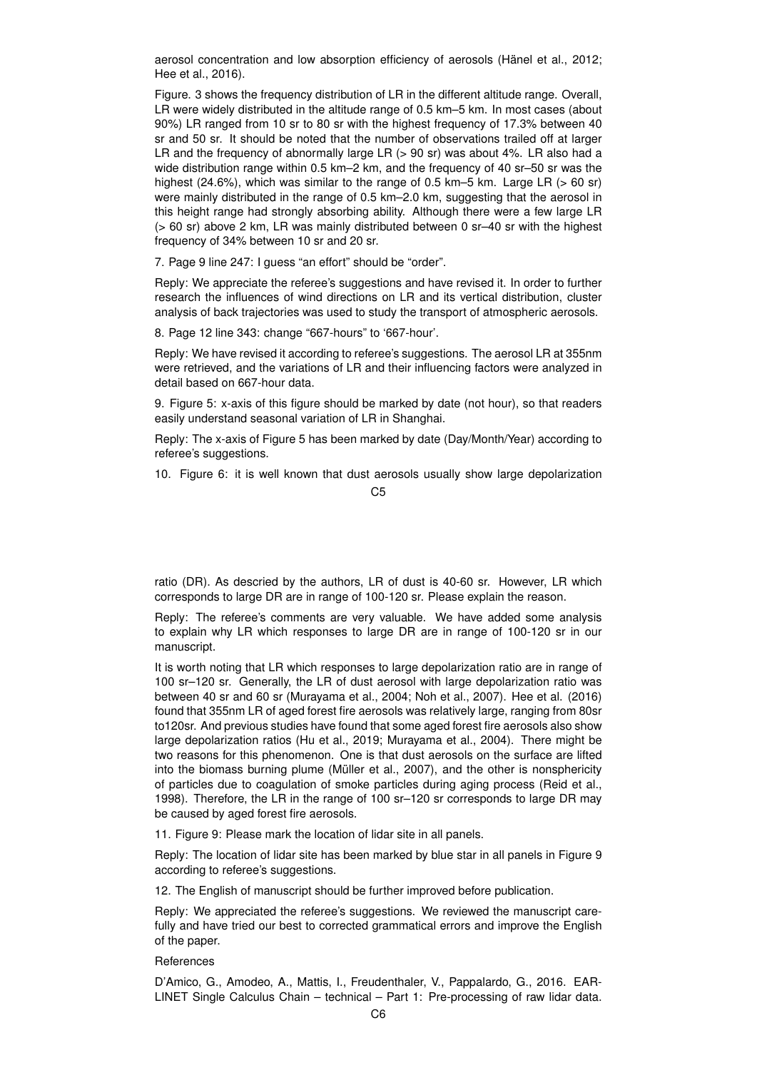aerosol concentration and low absorption efficiency of aerosols (Hänel et al., 2012; Hee et al., 2016).

Figure. 3 shows the frequency distribution of LR in the different altitude range. Overall, LR were widely distributed in the altitude range of 0.5 km–5 km. In most cases (about 90%) LR ranged from 10 sr to 80 sr with the highest frequency of 17.3% between 40 sr and 50 sr. It should be noted that the number of observations trailed off at larger LR and the frequency of abnormally large LR  $(> 90 \text{ sr})$  was about 4%. LR also had a wide distribution range within 0.5 km–2 km, and the frequency of 40 sr–50 sr was the highest (24.6%), which was similar to the range of 0.5 km–5 km. Large LR ( $> 60$  sr) were mainly distributed in the range of 0.5 km–2.0 km, suggesting that the aerosol in this height range had strongly absorbing ability. Although there were a few large LR (> 60 sr) above 2 km, LR was mainly distributed between 0 sr–40 sr with the highest frequency of 34% between 10 sr and 20 sr.

7. Page 9 line 247: I guess "an effort" should be "order".

Reply: We appreciate the referee's suggestions and have revised it. In order to further research the influences of wind directions on LR and its vertical distribution, cluster analysis of back trajectories was used to study the transport of atmospheric aerosols.

8. Page 12 line 343: change "667-hours" to '667-hour'.

Reply: We have revised it according to referee's suggestions. The aerosol LR at 355nm were retrieved, and the variations of LR and their influencing factors were analyzed in detail based on 667-hour data.

9. Figure 5: x-axis of this figure should be marked by date (not hour), so that readers easily understand seasonal variation of LR in Shanghai.

Reply: The x-axis of Figure 5 has been marked by date (Day/Month/Year) according to referee's suggestions.

10. Figure 6: it is well known that dust aerosols usually show large depolarization

 $C<sub>5</sub>$ 

ratio (DR). As descried by the authors, LR of dust is 40-60 sr. However, LR which corresponds to large DR are in range of 100-120 sr. Please explain the reason.

Reply: The referee's comments are very valuable. We have added some analysis to explain why LR which responses to large DR are in range of 100-120 sr in our manuscript.

It is worth noting that LR which responses to large depolarization ratio are in range of 100 sr–120 sr. Generally, the LR of dust aerosol with large depolarization ratio was between 40 sr and 60 sr (Murayama et al., 2004; Noh et al., 2007). Hee et al. (2016) found that 355nm LR of aged forest fire aerosols was relatively large, ranging from 80sr to120sr. And previous studies have found that some aged forest fire aerosols also show large depolarization ratios (Hu et al., 2019; Murayama et al., 2004). There might be two reasons for this phenomenon. One is that dust aerosols on the surface are lifted into the biomass burning plume (Müller et al., 2007), and the other is nonsphericity of particles due to coagulation of smoke particles during aging process (Reid et al., 1998). Therefore, the LR in the range of 100 sr–120 sr corresponds to large DR may be caused by aged forest fire aerosols.

11. Figure 9: Please mark the location of lidar site in all panels.

Reply: The location of lidar site has been marked by blue star in all panels in Figure 9 according to referee's suggestions.

12. The English of manuscript should be further improved before publication.

Reply: We appreciated the referee's suggestions. We reviewed the manuscript carefully and have tried our best to corrected grammatical errors and improve the English of the paper.

References

D'Amico, G., Amodeo, A., Mattis, I., Freudenthaler, V., Pappalardo, G., 2016. EAR-LINET Single Calculus Chain – technical – Part 1: Pre-processing of raw lidar data.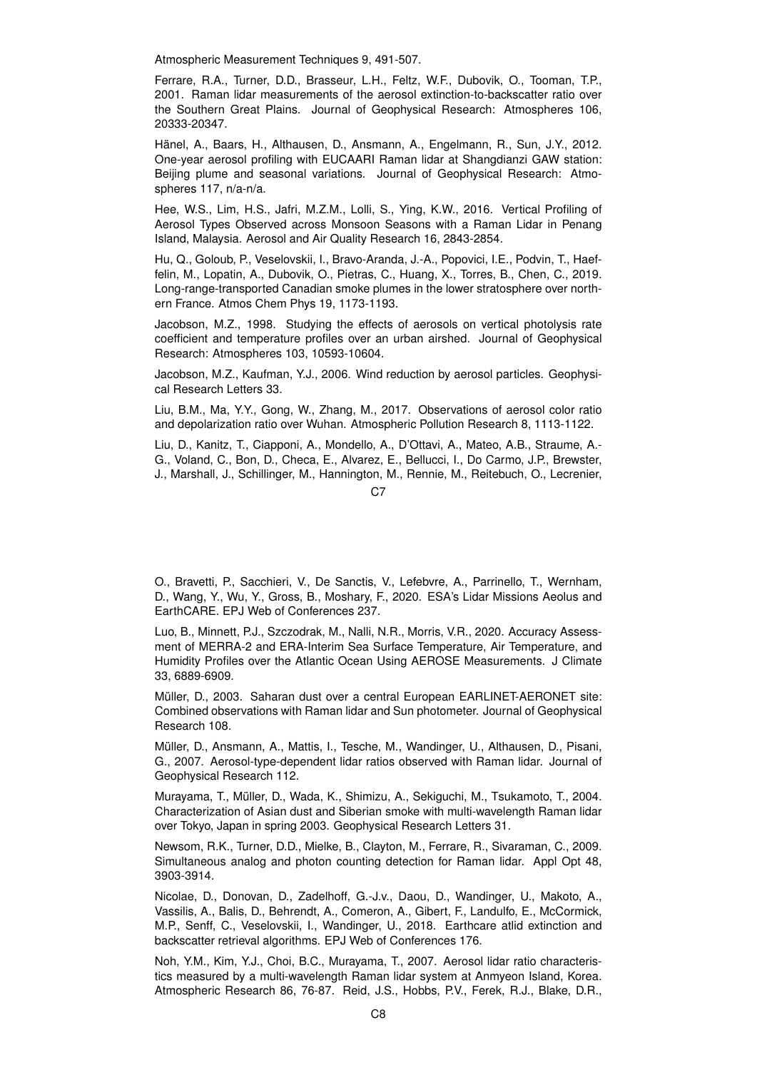Atmospheric Measurement Techniques 9, 491-507.

Ferrare, R.A., Turner, D.D., Brasseur, L.H., Feltz, W.F., Dubovik, O., Tooman, T.P., 2001. Raman lidar measurements of the aerosol extinction-to-backscatter ratio over the Southern Great Plains. Journal of Geophysical Research: Atmospheres 106, 20333-20347.

Hänel, A., Baars, H., Althausen, D., Ansmann, A., Engelmann, R., Sun, J.Y., 2012. One-year aerosol profiling with EUCAARI Raman lidar at Shangdianzi GAW station: Beijing plume and seasonal variations. Journal of Geophysical Research: Atmospheres 117, n/a-n/a.

Hee, W.S., Lim, H.S., Jafri, M.Z.M., Lolli, S., Ying, K.W., 2016. Vertical Profiling of Aerosol Types Observed across Monsoon Seasons with a Raman Lidar in Penang Island, Malaysia. Aerosol and Air Quality Research 16, 2843-2854.

Hu, Q., Goloub, P., Veselovskii, I., Bravo-Aranda, J.-A., Popovici, I.E., Podvin, T., Haeffelin, M., Lopatin, A., Dubovik, O., Pietras, C., Huang, X., Torres, B., Chen, C., 2019. Long-range-transported Canadian smoke plumes in the lower stratosphere over northern France. Atmos Chem Phys 19, 1173-1193.

Jacobson, M.Z., 1998. Studying the effects of aerosols on vertical photolysis rate coefficient and temperature profiles over an urban airshed. Journal of Geophysical Research: Atmospheres 103, 10593-10604.

Jacobson, M.Z., Kaufman, Y.J., 2006. Wind reduction by aerosol particles. Geophysical Research Letters 33.

Liu, B.M., Ma, Y.Y., Gong, W., Zhang, M., 2017. Observations of aerosol color ratio and depolarization ratio over Wuhan. Atmospheric Pollution Research 8, 1113-1122.

Liu, D., Kanitz, T., Ciapponi, A., Mondello, A., D'Ottavi, A., Mateo, A.B., Straume, A.- G., Voland, C., Bon, D., Checa, E., Alvarez, E., Bellucci, I., Do Carmo, J.P., Brewster, J., Marshall, J., Schillinger, M., Hannington, M., Rennie, M., Reitebuch, O., Lecrenier,

O., Bravetti, P., Sacchieri, V., De Sanctis, V., Lefebvre, A., Parrinello, T., Wernham, D., Wang, Y., Wu, Y., Gross, B., Moshary, F., 2020. ESA's Lidar Missions Aeolus and EarthCARE. EPJ Web of Conferences 237.

Luo, B., Minnett, P.J., Szczodrak, M., Nalli, N.R., Morris, V.R., 2020. Accuracy Assessment of MERRA-2 and ERA-Interim Sea Surface Temperature, Air Temperature, and Humidity Profiles over the Atlantic Ocean Using AEROSE Measurements. J Climate 33, 6889-6909.

Müller, D., 2003. Saharan dust over a central European EARLINET-AERONET site: Combined observations with Raman lidar and Sun photometer. Journal of Geophysical Research 108.

Müller, D., Ansmann, A., Mattis, I., Tesche, M., Wandinger, U., Althausen, D., Pisani, G., 2007. Aerosol-type-dependent lidar ratios observed with Raman lidar. Journal of Geophysical Research 112.

Murayama, T., Müller, D., Wada, K., Shimizu, A., Sekiguchi, M., Tsukamoto, T., 2004. Characterization of Asian dust and Siberian smoke with multi-wavelength Raman lidar over Tokyo, Japan in spring 2003. Geophysical Research Letters 31.

Newsom, R.K., Turner, D.D., Mielke, B., Clayton, M., Ferrare, R., Sivaraman, C., 2009. Simultaneous analog and photon counting detection for Raman lidar. Appl Opt 48, 3903-3914.

Nicolae, D., Donovan, D., Zadelhoff, G.-J.v., Daou, D., Wandinger, U., Makoto, A., Vassilis, A., Balis, D., Behrendt, A., Comeron, A., Gibert, F., Landulfo, E., McCormick, M.P., Senff, C., Veselovskii, I., Wandinger, U., 2018. Earthcare atlid extinction and backscatter retrieval algorithms. EPJ Web of Conferences 176.

Noh, Y.M., Kim, Y.J., Choi, B.C., Murayama, T., 2007. Aerosol lidar ratio characteristics measured by a multi-wavelength Raman lidar system at Anmyeon Island, Korea. Atmospheric Research 86, 76-87. Reid, J.S., Hobbs, P.V., Ferek, R.J., Blake, D.R.,

 $C<sub>2</sub>$